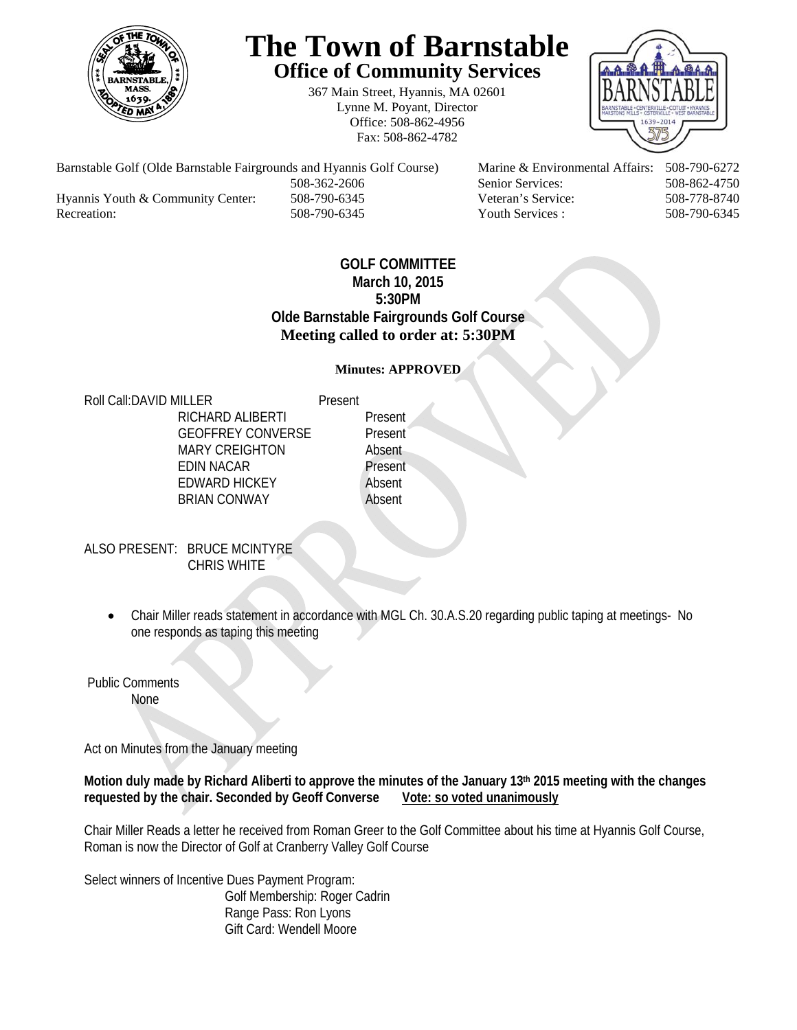

# **The Town of Barnstable Office of Community Services**

367 Main Street, Hyannis, MA 02601 Lynne M. Poyant, Director Office: 508-862-4956 Fax: 508-862-4782



Barnstable Golf (Olde Barnstable Fairgrounds and Hyannis Golf Course) Marine & Environmental Affairs: 508-790-6272 508-362-2606 Senior Services: 508-862-4750 Hyannis Youth & Community Center: 508-790-6345 Veteran's Service: 508-778-8740 Recreation: 508-790-6345 Youth Services : 508-790-6345 S08-790-6345

# **GOLF COMMITTEE March 10, 2015 5:30PM Olde Barnstable Fairgrounds Golf Course Meeting called to order at: 5:30PM**

### **Minutes: APPROVED**

Roll Call: DAVID MILLER Present

RICHARD ALIBERTI Present GEOFFREY CONVERSE Present MARY CREIGHTON Absent EDIN NACAR Present EDWARD HICKEY Absent BRIAN CONWAY Absent

ALSO PRESENT: BRUCE MCINTYRE CHRIS WHITE

> Chair Miller reads statement in accordance with MGL Ch. 30.A.S.20 regarding public taping at meetings- No one responds as taping this meeting

 Public Comments None

Act on Minutes from the January meeting

**Motion duly made by Richard Aliberti to approve the minutes of the January 13th 2015 meeting with the changes requested by the chair. Seconded by Geoff Converse Vote: so voted unanimously** 

Chair Miller Reads a letter he received from Roman Greer to the Golf Committee about his time at Hyannis Golf Course, Roman is now the Director of Golf at Cranberry Valley Golf Course

Select winners of Incentive Dues Payment Program: Golf Membership: Roger Cadrin Range Pass: Ron Lyons Gift Card: Wendell Moore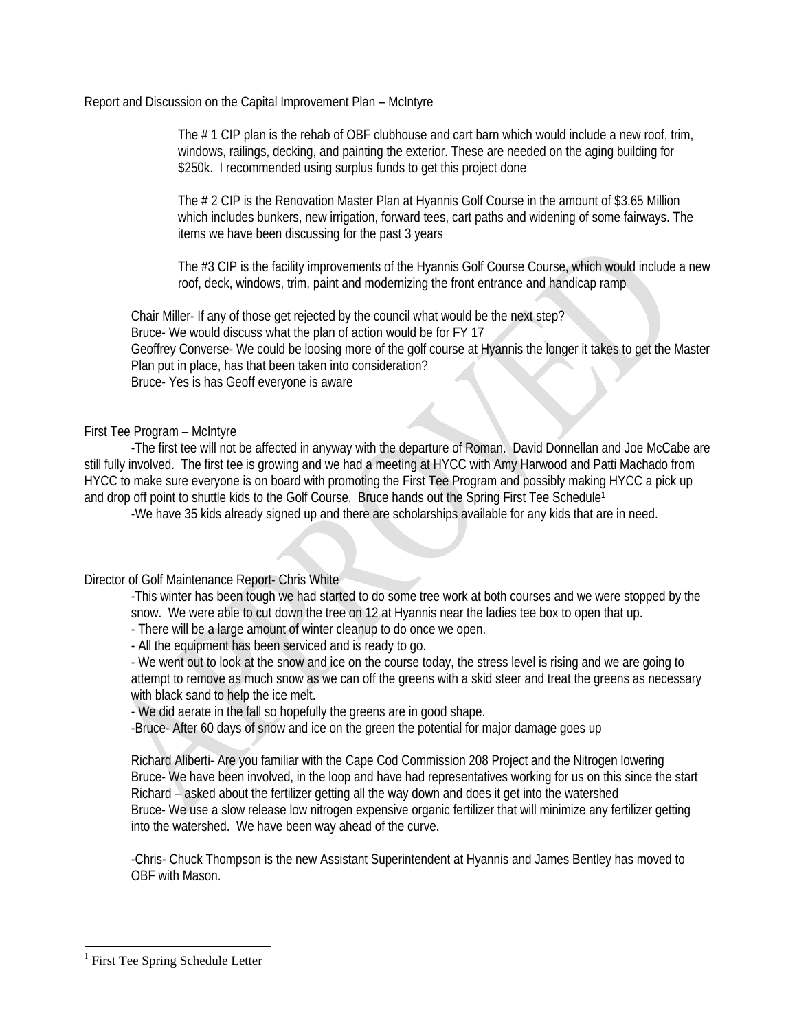Report and Discussion on the Capital Improvement Plan – McIntyre

The #1 CIP plan is the rehab of OBF clubhouse and cart barn which would include a new roof, trim, windows, railings, decking, and painting the exterior. These are needed on the aging building for \$250k. I recommended using surplus funds to get this project done

The # 2 CIP is the Renovation Master Plan at Hyannis Golf Course in the amount of \$3.65 Million which includes bunkers, new irrigation, forward tees, cart paths and widening of some fairways. The items we have been discussing for the past 3 years

The #3 CIP is the facility improvements of the Hyannis Golf Course Course, which would include a new roof, deck, windows, trim, paint and modernizing the front entrance and handicap ramp

 Chair Miller- If any of those get rejected by the council what would be the next step? Bruce- We would discuss what the plan of action would be for FY 17 Geoffrey Converse- We could be loosing more of the golf course at Hyannis the longer it takes to get the Master Plan put in place, has that been taken into consideration? Bruce- Yes is has Geoff everyone is aware

First Tee Program – McIntyre

 -The first tee will not be affected in anyway with the departure of Roman. David Donnellan and Joe McCabe are still fully involved. The first tee is growing and we had a meeting at HYCC with Amy Harwood and Patti Machado from HYCC to make sure everyone is on board with promoting the First Tee Program and possibly making HYCC a pick up and drop off point to shuttle kids to the Golf Course. Bruce hands out the Spring First Tee Schedule<sup>1</sup>

-We have 35 kids already signed up and there are scholarships available for any kids that are in need.

Director of Golf Maintenance Report- Chris White

-This winter has been tough we had started to do some tree work at both courses and we were stopped by the snow. We were able to cut down the tree on 12 at Hyannis near the ladies tee box to open that up.

- There will be a large amount of winter cleanup to do once we open.

- All the equipment has been serviced and is ready to go.

- We went out to look at the snow and ice on the course today, the stress level is rising and we are going to attempt to remove as much snow as we can off the greens with a skid steer and treat the greens as necessary with black sand to help the ice melt.

- We did aerate in the fall so hopefully the greens are in good shape.

-Bruce- After 60 days of snow and ice on the green the potential for major damage goes up

Richard Aliberti- Are you familiar with the Cape Cod Commission 208 Project and the Nitrogen lowering Bruce- We have been involved, in the loop and have had representatives working for us on this since the start Richard – asked about the fertilizer getting all the way down and does it get into the watershed Bruce- We use a slow release low nitrogen expensive organic fertilizer that will minimize any fertilizer getting into the watershed. We have been way ahead of the curve.

-Chris- Chuck Thompson is the new Assistant Superintendent at Hyannis and James Bentley has moved to OBF with Mason.

l

<sup>&</sup>lt;sup>1</sup> First Tee Spring Schedule Letter